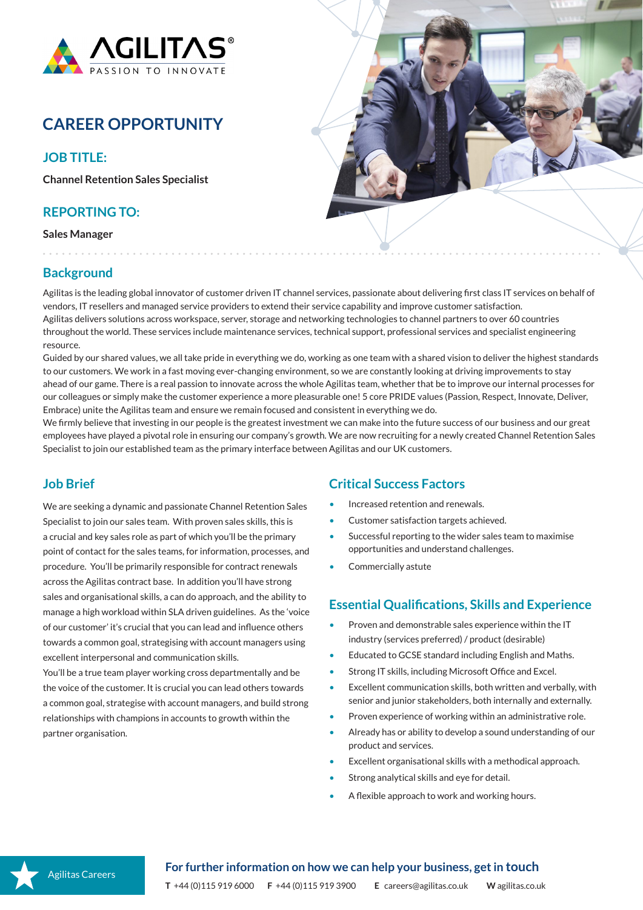

# **CAREER OPPORTUNITY**

### **JOB TITLE:**

**Channel Retention Sales Specialist**

### **REPORTING TO:**

**Sales Manager**



# **Background**

Agilitas is the leading global innovator of customer driven IT channel services, passionate about delivering first class IT services on behalf of vendors, IT resellers and managed service providers to extend their service capability and improve customer satisfaction. Agilitas delivers solutions across workspace, server, storage and networking technologies to channel partners to over 60 countries throughout the world. These services include maintenance services, technical support, professional services and specialist engineering resource.

Guided by our shared values, we all take pride in everything we do, working as one team with a shared vision to deliver the highest standards to our customers. We work in a fast moving ever-changing environment, so we are constantly looking at driving improvements to stay ahead of our game. There is a real passion to innovate across the whole Agilitas team, whether that be to improve our internal processes for our colleagues or simply make the customer experience a more pleasurable one! 5 core PRIDE values (Passion, Respect, Innovate, Deliver, Embrace) unite the Agilitas team and ensure we remain focused and consistent in everything we do.

We firmly believe that investing in our people is the greatest investment we can make into the future success of our business and our great employees have played a pivotal role in ensuring our company's growth. We are now recruiting for a newly created Channel Retention Sales Specialist to join our established team as the primary interface between Agilitas and our UK customers.

# **Job Brief**

We are seeking a dynamic and passionate Channel Retention Sales Specialist to join our sales team. With proven sales skills, this is a crucial and key sales role as part of which you'll be the primary point of contact for the sales teams, for information, processes, and procedure. You'll be primarily responsible for contract renewals across the Agilitas contract base. In addition you'll have strong sales and organisational skills, a can do approach, and the ability to manage a high workload within SLA driven guidelines. As the 'voice of our customer' it's crucial that you can lead and influence others towards a common goal, strategising with account managers using excellent interpersonal and communication skills.

. . . . . . . . . .

You'll be a true team player working cross departmentally and be the voice of the customer. It is crucial you can lead others towards a common goal, strategise with account managers, and build strong relationships with champions in accounts to growth within the partner organisation.

### **Critical Success Factors**

- Increased retention and renewals.
- Customer satisfaction targets achieved.
- Successful reporting to the wider sales team to maximise opportunities and understand challenges.
- Commercially astute

#### **Essential Qualifications, Skills and Experience**

- Proven and demonstrable sales experience within the IT industry (services preferred) / product (desirable)
- Educated to GCSE standard including English and Maths.
- Strong IT skills, including Microsoft Office and Excel.
- Excellent communication skills, both written and verbally, with senior and junior stakeholders, both internally and externally.
- Proven experience of working within an administrative role.
- Already has or ability to develop a sound understanding of our product and services.
- Excellent organisational skills with a methodical approach.
- Strong analytical skills and eye for detail.
- A flexible approach to work and working hours.